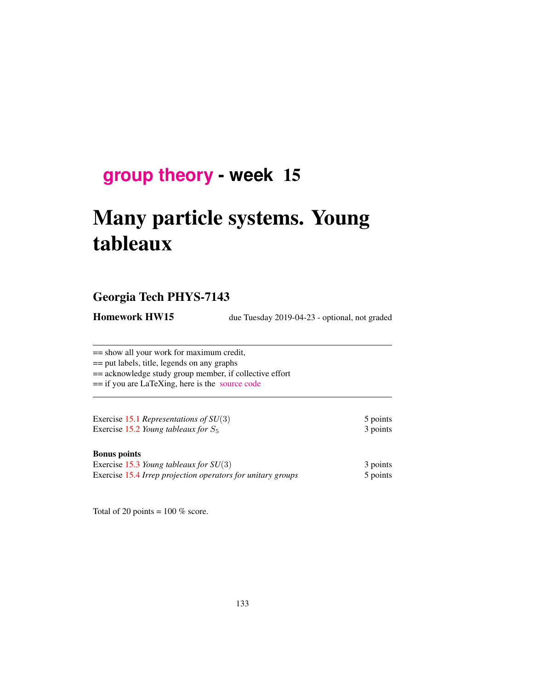# **[group theory](http://birdtracks.eu/courses/PHYS-7143-19/schedule.html) - week** 15

# Many particle systems. Young tableaux

# Georgia Tech PHYS-7143

**Homework HW15** due Tuesday 2019-04-23 - optional, not graded

== show all your work for maximum credit, == put labels, title, legends on any graphs

== acknowledge study group member, if collective effort

== if you are LaTeXing, here is the [source code](http://birdtracks.eu/courses/PHYS-7143-19/exerWeek15.tex)

Exercise 15.1 *Representations of SU*(3) 5 points Exercise 15.2 *Young tableaux for*  $S_5$  3 points

#### Bonus points

| Exercise 15.3 Young tableaux for $SU(3)$                    | 3 points |
|-------------------------------------------------------------|----------|
| Exercise 15.4 Irrep projection operators for unitary groups | 5 points |

Total of 20 points =  $100\%$  score.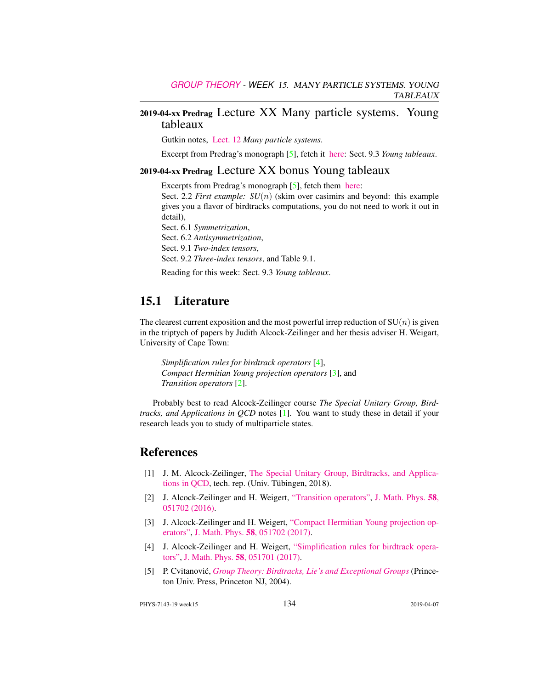## 2019-04-xx Predrag Lecture XX Many particle systems. Young tableaux

Gutkin notes, [Lect. 12](http://birdtracks.eu/courses/PHYS-7143-19/groups.pdf) *Many particle systems*.

Excerpt from Predrag's monograph [5], fetch it [here:](http://birdtracks.eu/courses/PHYS-7143-19/week11lect22.pdf) Sect. 9.3 *Young tableaux*.

#### 2019-04-xx Predrag Lecture XX bonus Young tableaux

Excerpts from Predrag's monograph [5], fetch them [here:](http://birdtracks.eu/courses/PHYS-7143-19/week11lect22.pdf)

Sect. 2.2 *First example:*  $SU(n)$  (skim over casimirs and beyond: this example gives you a flavor of birdtracks computations, you do not need to work it out in detail),

Sect. 6.1 *Symmetrization*, Sect. 6.2 *Antisymmetrization*, Sect. 9.1 *Two-index tensors*, Sect. 9.2 *Three-index tensors*, and Table 9.1.

Reading for this week: Sect. 9.3 *Young tableaux*.

# 15.1 Literature

The clearest current exposition and the most powerful irrep reduction of  $SU(n)$  is given in the triptych of papers by Judith Alcock-Zeilinger and her thesis adviser H. Weigart, University of Cape Town:

*Simplification rules for birdtrack operators* [4], *Compact Hermitian Young projection operators* [3], and *Transition operators* [2].

Probably best to read Alcock-Zeilinger course *The Special Unitary Group, Birdtracks, and Applications in QCD* notes [1]. You want to study these in detail if your research leads you to study of multiparticle states.

# References

- [1] J. M. Alcock-Zeilinger, [The Special Unitary Group, Birdtracks, and Applica](https://www.math.uni-tuebingen.de/de/forschung/maphy/lehre/ss-2018/sun/dateien/birdtracks-sun-qcd-lecturenotes.pdf)[tions in QCD,](https://www.math.uni-tuebingen.de/de/forschung/maphy/lehre/ss-2018/sun/dateien/birdtracks-sun-qcd-lecturenotes.pdf) tech. rep. (Univ. Tübingen, 2018).
- [2] J. Alcock-Zeilinger and H. Weigert, ["Transition operators",](http://dx.doi.org/10.1063/1.4983478) [J. Math. Phys.](http://dx.doi.org/10.1063/1.4983478) 58, [051702 \(2016\).](http://dx.doi.org/10.1063/1.4983478)
- [3] J. Alcock-Zeilinger and H. Weigert, ["Compact Hermitian Young projection op](http://dx.doi.org/10.1063/1.4983478)[erators",](http://dx.doi.org/10.1063/1.4983478) J. Math. Phys. 58[, 051702 \(2017\).](http://dx.doi.org/10.1063/1.4983478)
- [4] J. Alcock-Zeilinger and H. Weigert, ["Simplification rules for birdtrack opera](http://dx.doi.org/10.1063/1.4983477)[tors",](http://dx.doi.org/10.1063/1.4983477) J. Math. Phys. 58[, 051701 \(2017\).](http://dx.doi.org/10.1063/1.4983477)
- [5] P. Cvitanovic,´ *[Group Theory: Birdtracks, Lie's and Exceptional Groups](https://press.princeton.edu/titles/8839.html)* (Princeton Univ. Press, Princeton NJ, 2004).

PHYS-7143-19 week15 134 2019-04-07